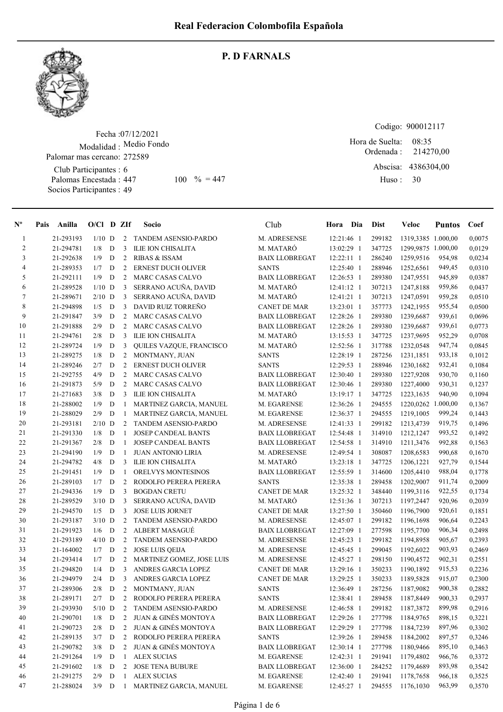

#### P. D FARNALS

Fecha : 07/12/2021 Modalidad : Medio Fondo Palomar mas cercano: 272589

Club Participantes : 6 Palomas Encestada : Socios Participantes : 49 447 100 % = 447 Huso: 30

Codigo: 900012117

Ordenada : Abscisa: 4386304,00 Huso : 08:35 Hora de Suelta: 214270,00

| $N^{\circ}$    | Pais | Anilla    | $O/Cl$ D ZIf |             |                | Socio                           | Club                  | Hora Dia     | <b>Dist</b> | Veloc              | <b>Puntos</b> | Coef   |
|----------------|------|-----------|--------------|-------------|----------------|---------------------------------|-----------------------|--------------|-------------|--------------------|---------------|--------|
| $\mathbf{1}$   |      | 21-293193 | $1/10$ D     |             | 2              | TANDEM ASENSIO-PARDO            | M. ADRESENSE          | 12:21:46 1   | 299182      | 1319,3385 1.000,00 |               | 0,0075 |
| $\overline{c}$ |      | 21-294781 | 1/8          | $\mathbf D$ | 3              | ILIE ION CHISALITA              | M. MATARÓ             | 13:02:29 1   | 347725      | 1299,9875 1.000,00 |               | 0,0129 |
| 3              |      | 21-292638 | 1/9          | $\mathbf D$ | 2              | <b>RIBAS &amp; ISSAM</b>        | <b>BAIX LLOBREGAT</b> | $12:22:11$ 1 | 286240      | 1259,9516          | 954,98        | 0,0234 |
| 4              |      | 21-289353 | 1/7          | $\mathbf D$ | 2              | <b>ERNEST DUCH OLIVER</b>       | <b>SANTS</b>          | 12:25:40 1   | 288946      | 1252,6561          | 949,45        | 0,0310 |
| 5              |      | 21-292111 | 1/9          | D           | $\overline{c}$ | <b>MARC CASAS CALVO</b>         | <b>BAIX LLOBREGAT</b> | 12:26:53 1   | 289380      | 1247,9551          | 945,89        | 0,0387 |
| 6              |      | 21-289528 | $1/10$ D     |             | 3              | SERRANO ACUÑA, DAVID            | M. MATARÓ             | 12:41:12 1   | 307213      | 1247,8188          | 959,86        | 0,0437 |
| $\tau$         |      | 21-289671 | $2/10$ D     |             | 3              | SERRANO ACUÑA, DAVID            | M. MATARÓ             | 12:41:21 1   | 307213      | 1247,0591          | 959,28        | 0,0510 |
| 8              |      | 21-294898 | 1/5          | D           | 3              | DAVID RUIZ TORREÑO              | <b>CANET DE MAR</b>   | 13:23:01 1   | 357773      | 1242,1955          | 955,54        | 0,0500 |
| 9              |      | 21-291847 | 3/9          | D           | 2              | <b>MARC CASAS CALVO</b>         | <b>BAIX LLOBREGAT</b> | 12:28:26 1   | 289380      | 1239,6687          | 939,61        | 0,0696 |
| 10             |      | 21-291888 | 2/9          | D           | $\overline{2}$ | <b>MARC CASAS CALVO</b>         | <b>BAIX LLOBREGAT</b> | 12:28:26 1   | 289380      | 1239,6687          | 939,61        | 0,0773 |
| 11             |      | 21-294761 | 2/8          | D           | 3              | <b>ILIE ION CHISALITA</b>       | M. MATARÓ             | 13:15:53 1   | 347725      | 1237.9695          | 952,29        | 0,0708 |
| 12             |      | 21-289724 | 1/9          | D           | 3              | QUILES VAZQUE, FRANCISCO        | M. MATARÓ             | 12:52:56 1   | 317788      | 1232,0548          | 947,74        | 0,0845 |
| 13             |      | 21-289275 | 1/8          | D           | 2              | MONTMANY, JUAN                  | <b>SANTS</b>          | 12:28:19 1   | 287256      | 1231,1851          | 933,18        | 0,1012 |
| 14             |      | 21-289246 | 2/7          | D           | 2              | <b>ERNEST DUCH OLIVER</b>       | <b>SANTS</b>          | 12:29:53 1   | 288946      | 1230,1682          | 932,41        | 0,1084 |
| 15             |      | 21-292755 | 4/9          | D           | 2              | <b>MARC CASAS CALVO</b>         | <b>BAIX LLOBREGAT</b> | 12:30:40 1   | 289380      | 1227,9208          | 930,70        | 0,1160 |
| 16             |      | 21-291873 | 5/9          | D           | 2              | <b>MARC CASAS CALVO</b>         | <b>BAIX LLOBREGAT</b> | 12:30:46 1   | 289380      | 1227,4000          | 930,31        | 0,1237 |
| 17             |      | 21-271683 | 3/8          | D           | 3              | <b>ILIE ION CHISALITA</b>       | M. MATARÓ             | 13:19:17 1   | 347725      | 1223,1635          | 940,90        | 0,1094 |
| 18             |      | 21-288002 | 1/9          | D           | $\mathbf{1}$   | MARTINEZ GARCIA, MANUEL         | M. EGARENSE           | 12:36:26 1   | 294555      | 1220,0262 1.000,00 |               | 0,1367 |
| 19             |      | 21-288029 | 2/9          | D           | 1              | MARTINEZ GARCIA, MANUEL         | M. EGARENSE           | 12:36:37 1   | 294555      | 1219,1005          | 999,24        | 0,1443 |
| 20             |      | 21-293181 | $2/10$ D     |             | 2              | TANDEM ASENSIO-PARDO            | M. ADRESENSE          | 12:41:33 1   | 299182      | 1213,4739          | 919,75        | 0,1496 |
| 21             |      | 21-291330 | 1/8          | D           | $\mathbf{1}$   | <b>JOSEP CANDEAL BANTS</b>      | <b>BAIX LLOBREGAT</b> | 12:54:48 1   | 314910      | 1212,1247          | 993,52        | 0,1492 |
| 22             |      | 21-291367 | 2/8          | $\mathbf D$ | $\mathbf{1}$   | <b>JOSEP CANDEAL BANTS</b>      | <b>BAIX LLOBREGAT</b> | 12:54:58 1   | 314910      | 1211,3476          | 992,88        | 0,1563 |
| 23             |      | 21-294190 | 1/9          | D           | $\mathbf{1}$   | <b>JUAN ANTONIO LIRIA</b>       | M. ADRESENSE          | 12:49:54 1   | 308087      | 1208,6583          | 990,68        | 0,1670 |
| 24             |      | 21-294782 | 4/8          | D           | 3              | ILIE ION CHISALITA              | M. MATARÓ             | 13:23:18 1   | 347725      | 1206,1221          | 927,79        | 0,1544 |
| 25             |      | 21-291451 | 1/9          | D           | 1              | ORELVYS MONTESINOS              | <b>BAIX LLOBREGAT</b> | 12:55:59 1   | 314600      | 1205,4410          | 988,04        | 0,1778 |
| 26             |      | 21-289103 | 1/7          | D           | 2              | RODOLFO PERERA PERERA           | <b>SANTS</b>          | 12:35:38 1   | 289458      | 1202,9007          | 911,74        | 0,2009 |
| 27             |      | 21-294336 | 1/9          | $\mathbf D$ | 3              | <b>BOGDAN CRETU</b>             | <b>CANET DE MAR</b>   | 13:25:32 1   | 348440      | 1199,3116          | 922,55        | 0,1734 |
| 28             |      | 21-289529 | $3/10$ D     |             | 3              | SERRANO ACUÑA, DAVID            | M. MATARÓ             | 12:51:36 1   | 307213      | 1197,2447          | 920,96        | 0,2039 |
| 29             |      | 21-294570 | 1/5          | D           | 3              | <b>JOSE LUIS JORNET</b>         | <b>CANET DE MAR</b>   | 13:27:50 1   | 350460      | 1196,7900          | 920,61        | 0,1851 |
| 30             |      | 21-293187 | $3/10$ D     |             | $\overline{c}$ | TANDEM ASENSIO-PARDO            | M. ADRESENSE          | 12:45:07 1   | 299182      | 1196,1698          | 906,64        | 0,2243 |
| 31             |      | 21-291923 | 1/6          | D           | 2              | <b>ALBERT MASAGUÉ</b>           | <b>BAIX LLOBREGAT</b> | 12:27:09 1   | 277598      | 1195,7700          | 906,34        | 0,2498 |
| 32             |      | 21-293189 | $4/10$ D     |             | 2              | TANDEM ASENSIO-PARDO            | M. ADRESENSE          | 12:45:23 1   | 299182      | 1194,8958          | 905,67        | 0,2393 |
| 33             |      | 21-164002 | 1/7          | D           | 2              | <b>JOSE LUIS QEIJA</b>          | M. ADRESENSE          | 12:45:45 1   | 299045      | 1192,6022          | 903,93        | 0,2469 |
| 34             |      | 21-293414 | 1/7          | D           | 2              | MARTINEZ GOMEZ, JOSE LUIS       | M. ADRESENSE          | 12:45:27 1   | 298150      | 1190,4572          | 902,31        | 0,2551 |
| 35             |      | 21-294820 | 1/4          | D           | 3              | ANDRES GARCIA LOPEZ             | <b>CANET DE MAR</b>   | 13:29:16 1   | 350233      | 1190,1892          | 915,53        | 0,2236 |
| 36             |      | 21-294979 | 2/4          | D           | 3              | ANDRES GARCIA LOPEZ             | <b>CANET DE MAR</b>   | 13:29:25 1   | 350233      | 1189,5828          | 915,07        | 0,2300 |
| 37             |      | 21-289306 | 2/8          | D           | 2              | MONTMANY, JUAN                  | <b>SANTS</b>          | 12:36:49 1   | 287256      | 1187,9082          | 900,38        | 0,2882 |
| 38             |      | 21-289171 | 2/7          | D           | 2              | RODOLFO PERERA PERERA           | <b>SANTS</b>          | 12:38:41 1   | 289458      | 1187,8449          | 900,33        | 0,2937 |
| 39             |      | 21-293930 | $5/10$ D     |             | 2              | TANDEM ASENSIO-PARDO            | M. ADRESENSE          | 12:46:58 1   | 299182      | 1187,3872          | 899,98        | 0,2916 |
| 40             |      | 21-290701 | 1/8          | D           | 2              | <b>JUAN &amp; GINÉS MONTOYA</b> | <b>BAIX LLOBREGAT</b> | 12:29:26 1   | 277798      | 1184,9765          | 898,15        | 0,3221 |
| 41             |      | 21-290723 | 2/8          | D           | 2              | <b>JUAN &amp; GINÉS MONTOYA</b> | <b>BAIX LLOBREGAT</b> | 12:29:29 1   | 277798      | 1184,7239          | 897,96        | 0,3302 |
| 42             |      | 21-289135 | 3/7          | D           | 2              | RODOLFO PERERA PERERA           | <b>SANTS</b>          | 12:39:26 1   | 289458      | 1184,2002          | 897,57        | 0,3246 |
| 43             |      | 21-290782 | 3/8          | D           | 2              | <b>JUAN &amp; GINÉS MONTOYA</b> | <b>BAIX LLOBREGAT</b> | 12:30:14 1   | 277798      | 1180,9466          | 895,10        | 0,3463 |
| 44             |      | 21-291264 | 1/9          | D           |                | <b>ALEX SUCIAS</b>              | M. EGARENSE           | 12:42:31 1   | 291941      | 1179,4802          | 966,76        | 0,3372 |
| 45             |      | 21-291602 | 1/8          | D           | $\overline{c}$ | <b>JOSE TENA BUBURE</b>         | <b>BAIX LLOBREGAT</b> | 12:36:00 1   | 284252      | 1179,4689          | 893,98        | 0,3542 |
| 46             |      | 21-291275 | 2/9          | D           | 1              | <b>ALEX SUCIAS</b>              | M. EGARENSE           | 12:42:40 1   | 291941      | 1178,7658          | 966,18        | 0,3525 |
| 47             |      | 21-288024 | $3/9$ D      |             | $\mathbf{1}$   | MARTINEZ GARCIA, MANUEL         | M. EGARENSE           | 12:45:27 1   | 294555      | 1176,1030          | 963,99        | 0,3570 |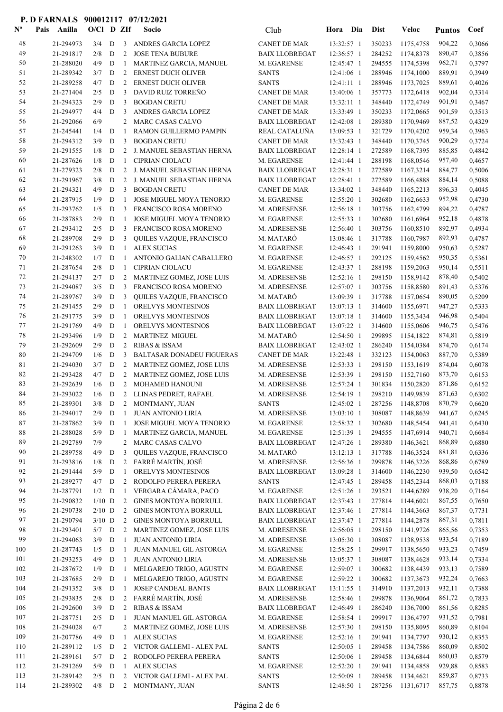| $\mathbf{N}^{\mathbf{o}}$ | Pais<br>Anilla         | $O/C1$ D ZIf |              |                | Socio                                              | Club                                   | Hora                     | Dia | <b>Dist</b>      | Veloc                       | <b>Puntos</b>    | Coef             |
|---------------------------|------------------------|--------------|--------------|----------------|----------------------------------------------------|----------------------------------------|--------------------------|-----|------------------|-----------------------------|------------------|------------------|
| 48                        | 21-294973              | 3/4          | D            | 3              | ANDRES GARCIA LOPEZ                                | <b>CANET DE MAR</b>                    | 13:32:57 1               |     | 350233           | 1175,4758                   | 904,22           | 0,3066           |
| 49                        | 21-291817              | 2/8          | D            | 2              | <b>JOSE TENA BUBURE</b>                            | <b>BAIX LLOBREGAT</b>                  | 12:36:57 1               |     | 284252           | 1174,8378                   | 890,47           | 0,3856           |
| 50                        | 21-288020              | 4/9          | D            | -1             | MARTINEZ GARCIA, MANUEL                            | M. EGARENSE                            | 12:45:47 1               |     | 294555           | 1174,5398                   | 962,71           | 0,3797           |
| 51                        | 21-289342              | 3/7          | D            | 2              | <b>ERNEST DUCH OLIVER</b>                          | <b>SANTS</b>                           | 12:41:06 1               |     | 288946           | 1174,1000                   | 889,91           | 0,3949           |
| 52                        | 21-289258              | 4/7          | D            | 2              | <b>ERNEST DUCH OLIVER</b>                          | <b>SANTS</b>                           | $12:41:11$ 1             |     | 288946           | 1173,7025                   | 889,61           | 0,4026           |
| 53                        | 21-271404              | 2/5          | D            | 3              | DAVID RUIZ TORREÑO                                 | <b>CANET DE MAR</b>                    | 13:40:06 1               |     | 357773           | 1172,6418                   | 902,04           | 0,3314           |
| 54                        | 21-294323              | 2/9          | D            | 3              | <b>BOGDAN CRETU</b>                                | <b>CANET DE MAR</b>                    | 13:32:11 1               |     | 348440           | 1172,4749                   | 901,91           | 0,3467           |
| 55                        | 21-294977              | 4/4          | D            | 3              | ANDRES GARCIA LOPEZ                                | <b>CANET DE MAR</b>                    | 13:33:49 1               |     | 350233           | 1172,0665                   | 901,59           | 0,3513           |
| 56<br>57                  | 21-292066<br>21-245441 | 6/9<br>1/4   | D            | 2<br>1         | MARC CASAS CALVO<br>RAMON GUILLERMO PAMPIN         | <b>BAIX LLOBREGAT</b><br>REAL CATALUÑA | 12:42:08 1<br>13:09:53 1 |     | 289380<br>321729 | 1170,9469<br>1170,4202      | 887,52<br>959,34 | 0,4329<br>0,3963 |
| 58                        | 21-294312              | 3/9          | D            | 3              | <b>BOGDAN CRETU</b>                                | <b>CANET DE MAR</b>                    | 13:32:43 1               |     | 348440           | 1170,3745                   | 900,29           | 0,3724           |
| 59                        | 21-291555              | 1/8          | D            | 2              | J. MANUEL SEBASTIAN HERNA                          | <b>BAIX LLOBREGAT</b>                  | 12:28:14 1               |     | 272589           | 1168,7395                   | 885,85           | 0,4842           |
| 60                        | 21-287626              | 1/8          | D            | 1              | <b>CIPRIAN CIOLACU</b>                             | M. EGARENSE                            | 12:41:44 1               |     | 288198           | 1168,0546                   | 957,40           | 0,4657           |
| 61                        | 21-279323              | 2/8          | D            | 2              | J. MANUEL SEBASTIAN HERNA                          | <b>BAIX LLOBREGAT</b>                  | 12:28:31 1               |     | 272589           | 1167,3214                   | 884,77           | 0,5006           |
| 62                        | 21-291967              | 3/8          | D            | 2              | J. MANUEL SEBASTIAN HERNA                          | <b>BAIX LLOBREGAT</b>                  | 12:28:41 1               |     | 272589           | 1166,4888                   | 884,14           | 0,5088           |
| 63                        | 21-294321              | 4/9          | D            | 3              | <b>BOGDAN CRETU</b>                                | <b>CANET DE MAR</b>                    | 13:34:02 1               |     | 348440           | 1165,2213                   | 896,33           | 0,4045           |
| 64                        | 21-287915              | 1/9          | $\mathbf D$  | -1             | <b>JOSE MIGUEL MOYA TENORIO</b>                    | M. EGARENSE                            | 12:55:20 1               |     | 302680           | 1162,6633                   | 952,98           | 0,4730           |
| 65                        | 21-293762              | 1/5          | D            | 3              | FRANCISCO ROSA MORENO                              | M. ADRESENSE                           | 12:56:18 1               |     | 303756           | 1162,4799                   | 894,22           | 0,4787           |
| 66                        | 21-287883              | 2/9          | D            | 1              | <b>JOSE MIGUEL MOYA TENORIO</b>                    | M. EGARENSE                            | 12:55:33 1               |     | 302680           | 1161,6964                   | 952,18           | 0,4878           |
| 67                        | 21-293412              | 2/5          | D            | 3              | FRANCISCO ROSA MORENO                              | M. ADRESENSE                           | 12:56:40 1               |     | 303756           | 1160,8510                   | 892,97           | 0,4934           |
| 68                        | 21-289708              | 2/9          | D            | 3              | QUILES VAZQUE, FRANCISCO                           | M. MATARÓ                              | 13:08:46 1               |     | 317788           | 1160,7987                   | 892,93           | 0,4787           |
| 69                        | 21-291263              | 3/9          | D            | 1              | <b>ALEX SUCIAS</b>                                 | M. EGARENSE                            | 12:46:43 1               |     | 291941           | 1159,8000                   | 950,63           | 0,5287           |
| 70                        | 21-248302              | 1/7          | D            | 1              | ANTONIO GALIAN CABALLERO                           | M. EGARENSE                            | 12:46:57 1               |     | 292125           | 1159,4562                   | 950,35           | 0,5361           |
| 71                        | 21-287654              | 2/8          | D            | -1             | <b>CIPRIAN CIOLACU</b>                             | M. EGARENSE                            | 12:43:37 1               |     | 288198           | 1159,2063                   | 950,14           | 0,5511           |
| 72                        | 21-294137              | 2/7          | D            | 2              | MARTINEZ GOMEZ, JOSE LUIS                          | M. ADRESENSE                           | 12:52:16 1               |     | 298150           | 1158,9142                   | 878,40           | 0,5402           |
| 73                        | 21-294087              | 3/5          | D            | 3              | <b>FRANCISCO ROSA MORENO</b>                       | M. ADRESENSE                           | 12:57:07 1               |     | 303756           | 1158,8580                   | 891,43           | 0,5376           |
| 74<br>75                  | 21-289767<br>21-291455 | 3/9<br>2/9   | D<br>D       | 3<br>1         | QUILES VAZQUE, FRANCISCO<br>ORELVYS MONTESINOS     | M. MATARÓ<br><b>BAIX LLOBREGAT</b>     | 13:09:39 1<br>13:07:13 1 |     | 317788<br>314600 | 1157,0654<br>1155,6971      | 890,05           | 0,5209<br>0,5333 |
| 76                        | 21-291775              | 3/9          | D            | 1              | ORELVYS MONTESINOS                                 | <b>BAIX LLOBREGAT</b>                  | 13:07:18 1               |     | 314600           | 1155,3434                   | 947,27<br>946,98 | 0,5404           |
| 77                        | 21-291769              | 4/9          | D            | 1              | ORELVYS MONTESINOS                                 | <b>BAIX LLOBREGAT</b>                  | 13:07:22 1               |     | 314600           | 1155,0606                   | 946,75           | 0,5476           |
| 78                        | 21-293496              | 1/9          | D            | 2              | <b>MARTINEZ MIGUEL</b>                             | M. MATARÓ                              | 12:54:50 1               |     | 299895           | 1154,1822                   | 874,81           | 0,5819           |
| 79                        | 21-292609              | 2/9          | D            | 2              | <b>RIBAS &amp; ISSAM</b>                           | <b>BAIX LLOBREGAT</b>                  | 12:43:02 1               |     | 286240           | 1154,0384                   | 874,70           | 0,6174           |
| 80                        | 21-294709              | 1/6          | D            | 3              | <b>BALTASAR DONADEU FIGUERAS</b>                   | <b>CANET DE MAR</b>                    | 13:22:48 1               |     | 332123           | 1154,0063                   | 887,70           | 0,5389           |
| 81                        | 21-294030              | 3/7          | D            | 2              | <b>MARTINEZ GOMEZ, JOSE LUIS</b>                   | M. ADRESENSE                           | 12:53:33 1               |     | 298150           | 1153,1619                   | 874,04           | 0,6078           |
| 82                        | 21-293428              | 4/7          | D            | 2              | MARTINEZ GOMEZ, JOSE LUIS                          | M. ADRESENSE                           | 12:53:39 1               |     | 298150           | 1152,7160                   | 873,70           | 0,6153           |
| 83                        | 21-292639              | 1/6          | D            | 2              | MOHAMED HANOUNI                                    | M. ADRESENSE                           | 12:57:24 1               |     | 301834           | 1150,2820                   | 871,86           | 0,6152           |
| 84                        | 21-293022              | 1/6          | D            |                | 2 LLINAS PEDRET, RAFAEL                            | M. ADRESENSE                           | 12:54:19 1               |     | 298210           | 1149,9839                   | 871,63           | 0,6302           |
| 85                        | 21-289301              |              |              |                | 3/8 D 2 MONTMANY, JUAN                             | <b>SANTS</b>                           |                          |     |                  | 12:45:02 1 287256 1148,8708 | 870,79           | 0,6620           |
| 86                        | 21-294017              | 2/9          | $\mathbf{D}$ | -1             | <b>JUAN ANTONIO LIRIA</b>                          | M. ADRESENSE                           | $13:03:10$ 1             |     | 308087           | 1148,8639                   | 941,67           | 0,6245           |
| 87                        | 21-287862              | 3/9          | D            | -1             | JOSE MIGUEL MOYA TENORIO                           | M. EGARENSE                            | 12:58:32 1               |     | 302680           | 1148,5454                   | 941,41           | 0,6430           |
| 88                        | 21-288028              | 5/9          | $\mathbf D$  | -1             | MARTINEZ GARCIA, MANUEL                            | M. EGARENSE                            | 12:51:39 1               |     | 294555           | 1147,6914                   | 940,71           | 0,6684           |
| 89<br>90                  | 21-292789<br>21-289758 | 7/9<br>4/9   | D            | 3              | 2 MARC CASAS CALVO<br>QUILES VAZQUE, FRANCISCO     | <b>BAIX LLOBREGAT</b><br>M. MATARÓ     | 12:47:26 1               |     | 289380<br>317788 | 1146,3621<br>1146,3524      | 868,89           | 0,6880<br>0,6336 |
| 91                        | 21-293816              | 1/8          | D            |                | 2 FARRÉ MARTÍN, JOSÉ                               | M. ADRESENSE                           | 13:12:13 1<br>12:56:36 1 |     | 299878           | 1146,3226                   | 881,81<br>868,86 | 0,6789           |
| 92                        | 21-291444              | 5/9          | D            | $\mathbf{1}$   | ORELVYS MONTESINOS                                 | <b>BAIX LLOBREGAT</b>                  | 13:09:28 1               |     | 314600           | 1146,2230                   | 939,50           | 0,6542           |
| 93                        | 21-289277              | $4/7$ D      |              | 2              | RODOLFO PERERA PERERA                              | <b>SANTS</b>                           | 12:47:45 1               |     | 289458           | 1145,2344                   | 868,03           | 0,7188           |
| 94                        | 21-287791              | $1/2$ D      |              | -1             | VERGARA CÁMARA, PACO                               | M. EGARENSE                            | 12:51:26 1               |     | 293521           | 1144,6289                   | 938,20           | 0,7164           |
| 95                        | 21-290832              | $1/10$ D     |              | 2              | <b>GINES MONTOYA BORRULL</b>                       | <b>BAIX LLOBREGAT</b>                  | 12:37:43 1               |     | 277814           | 1144,6021                   | 867,55           | 0,7650           |
| 96                        | 21-290738              | $2/10$ D     |              | 2              | <b>GINES MONTOYA BORRULL</b>                       | <b>BAIX LLOBREGAT</b>                  | 12:37:46 1               |     | 277814           | 1144,3663                   | 867,37           | 0,7731           |
| 97                        | 21-290794              | $3/10$ D     |              | $2^{\circ}$    | <b>GINES MONTOYA BORRULL</b>                       | <b>BAIX LLOBREGAT</b>                  | 12:37:47 1               |     | 277814           | 1144,2878                   | 867,31           | 0,7811           |
| 98                        | 21-293401              | $5/7$ D      |              | 2              | MARTINEZ GOMEZ, JOSE LUIS                          | M. ADRESENSE                           | $12:56:05$ 1             |     | 298150           | 1141,9726                   | 865,56           | 0,7353           |
| 99                        | 21-294063              | 3/9          | $\mathbf D$  | 1              | <b>JUAN ANTONIO LIRIA</b>                          | M. ADRESENSE                           | 13:05:30 1               |     | 308087           | 1138,9538                   | 933,54           | 0,7189           |
| 100                       | 21-287743              | 1/5          | $\mathbf D$  | -1             | JUAN MANUEL GIL ASTORGA                            | M. EGARENSE                            | 12:58:25 1               |     | 299917           | 1138,5650                   | 933,23           | 0,7459           |
| 101                       | 21-293253              | 4/9          | $\mathbf D$  | -1             | <b>JUAN ANTONIO LIRIA</b>                          | M. ADRESENSE                           | 13:05:37 1               |     | 308087           | 1138,4628                   | 933,14           | 0,7334           |
| 102                       | 21-287672              | 1/9          | D            | -1             | MELGAREJO TRIGO, AGUSTIN                           | M. EGARENSE                            | 12:59:07 1               |     | 300682           | 1138,4439                   | 933,13           | 0,7589           |
| 103                       | 21-287685              | 2/9          | D            | $\mathbf{1}$   | MELGAREJO TRIGO, AGUSTIN                           | M. EGARENSE                            | 12:59:22 1               |     | 300682           | 1137,3673                   | 932,24           | 0,7663           |
| 104                       | 21-291352              | 3/8          | D            | 1              | <b>JOSEP CANDEAL BANTS</b><br>2 FARRÉ MARTÍN, JOSÉ | <b>BAIX LLOBREGAT</b>                  | 13:11:55 1               |     | 314910           | 1137,2013                   | 932,11           | 0,7388           |
| 105<br>106                | 21-293835<br>21-292600 | 2/8<br>3/9   | D<br>D       | $\overline{2}$ | <b>RIBAS &amp; ISSAM</b>                           | M. ADRESENSE<br><b>BAIX LLOBREGAT</b>  | 12:58:46 1<br>12:46:49 1 |     | 299878<br>286240 | 1136,9064<br>1136,7000      | 861,72<br>861,56 | 0,7833<br>0,8285 |
| 107                       | 21-287751              | 2/5          | D            | -1             | JUAN MANUEL GIL ASTORGA                            | M. EGARENSE                            | 12:58:54 1               |     | 299917           | 1136,4797                   | 931,52           | 0,7981           |
| 108                       | 21-294028              | 6/7          |              | $\overline{2}$ | MARTINEZ GOMEZ, JOSE LUIS                          | M. ADRESENSE                           | 12:57:30 1               |     | 298150           | 1135,8095                   | 860,89           | 0,8104           |
| 109                       | 21-207786              | 4/9          | D            | -1             | <b>ALEX SUCIAS</b>                                 | M. EGARENSE                            | 12:52:16 1               |     | 291941           | 1134,7797                   | 930,12           | 0,8353           |
| 110                       | 21-289112              | 1/5          | D            |                | 2 VICTOR GALLEMI - ALEX PAL                        | <b>SANTS</b>                           | $12:50:05$ 1             |     | 289458           | 1134,7586                   | 860,09           | 0,8502           |
| 111                       | 21-289161              | 5/7          | D            | 2              | RODOLFO PERERA PERERA                              | <b>SANTS</b>                           | 12:50:06 1               |     | 289458           | 1134,6844                   | 860,03           | 0,8579           |
| 112                       | 21-291269              | 5/9          | ${\bf D}$    | $\mathbf{1}$   | <b>ALEX SUCIAS</b>                                 | M. EGARENSE                            | 12:52:20 1               |     | 291941           | 1134,4858                   | 929,88           | 0,8583           |
| 113                       | 21-289142              | $2/5$ D      |              |                | 2 VICTOR GALLEMI - ALEX PAL                        | <b>SANTS</b>                           | 12:50:09 1               |     | 289458           | 1134,4621                   | 859,87           | 0,8733           |
| 114                       | 21-289302              | $4/8$ D      |              |                | 2 MONTMANY, JUAN                                   | <b>SANTS</b>                           | 12:48:50 1               |     | 287256           | 1131,6717                   | 857,75           | 0,8878           |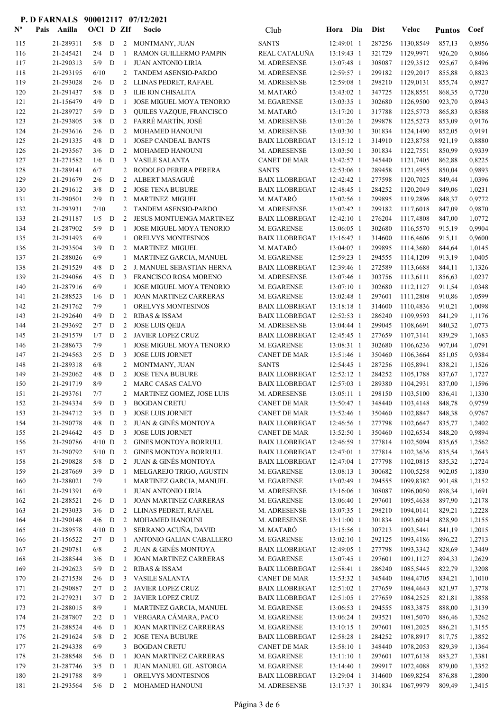| $\mathbf{N}^{\mathbf{o}}$ | Pais<br>Anilla         | $O/Cl$ D ZIf |                  |                   | Socio                                                    | Club                                 | Hora Dia                 | <b>Dist</b>      | Veloc                       | <b>Puntos</b>    | Coef             |
|---------------------------|------------------------|--------------|------------------|-------------------|----------------------------------------------------------|--------------------------------------|--------------------------|------------------|-----------------------------|------------------|------------------|
| 115                       | 21-289311              | 5/8          | D                |                   | 2 MONTMANY, JUAN                                         | <b>SANTS</b>                         | 12:49:01 1               | 287256           | 1130,8549                   | 857,13           | 0,8956           |
| 116                       | 21-245421              | 2/4          | D                | -1                | RAMON GUILLERMO PAMPIN                                   | REAL CATALUÑA                        | 13:19:43 1               | 321729           | 1129,9971                   | 926,20           | 0,8066           |
| 117                       | 21-290313              | 5/9          | D                | -1                | <b>JUAN ANTONIO LIRIA</b>                                | M. ADRESENSE                         | 13:07:48 1               | 308087           | 1129,3512                   | 925,67           | 0,8496           |
| 118                       | 21-293195              | 6/10         |                  | 2                 | <b>TANDEM ASENSIO-PARDO</b>                              | M. ADRESENSE                         | 12:59:57 1               | 299182           | 1129,2017                   | 855,88           | 0,8823           |
| 119                       | 21-293028              | 2/6          | D                | 2                 | LLINAS PEDRET, RAFAEL                                    | M. ADRESENSE                         | 12:59:08 1               | 298210           | 1129,0131                   | 855,74           | 0,8927           |
| 120                       | 21-291437              | 5/8          | D                | 3                 | ILIE ION CHISALITA                                       | M. MATARÓ                            | 13:43:02 1               | 347725           | 1128,8551                   | 868,35           | 0,7720           |
| 121                       | 21-156479              | 4/9          | D                | 1                 | JOSE MIGUEL MOYA TENORIO                                 | M. EGARENSE                          | 13:03:35 1               | 302680           | 1126,9500                   | 923,70           | 0,8943           |
| 122                       | 21-289727              | 5/9          | D                | 3                 | QUILES VAZQUE, FRANCISCO                                 | M. MATARÓ                            | 13:17:20 1               | 317788           | 1125,5773                   | 865,83           | 0,8588           |
| 123                       | 21-293805              | 3/8          | D                | $\overline{2}$    | FARRÉ MARTÍN, JOSÉ                                       | M. ADRESENSE                         | 13:01:26 1               | 299878           | 1125,5273                   | 853,09           | 0,9176           |
| 124                       | 21-293616              | 2/6          | D                | 2                 | <b>MOHAMED HANOUNI</b>                                   | M. ADRESENSE                         | 13:03:30 1               | 301834           | 1124,1490                   | 852,05           | 0,9191           |
| 125                       | 21-291335              | 4/8          | D                | 1                 | <b>JOSEP CANDEAL BANTS</b>                               | <b>BAIX LLOBREGAT</b>                | 13:15:12 1               | 314910           | 1123,8758                   | 921,19           | 0,8880           |
| 126                       | 21-293567              | 3/6          | D                | 2<br>3            | MOHAMED HANOUNI                                          | M. ADRESENSE                         | 13:03:50 1               | 301834           | 1122,7551                   | 850,99           | 0,9339           |
| 127<br>128                | 21-271582<br>21-289141 | 1/6<br>6/7   | D                | 2                 | <b>VASILE SALANTA</b><br>RODOLFO PERERA PERERA           | <b>CANET DE MAR</b><br><b>SANTS</b>  | 13:42:57 1<br>12:53:06 1 | 345440<br>289458 | 1121,7405<br>1121,4955      | 862,88<br>850,04 | 0,8225<br>0,9893 |
| 129                       | 21-291679              | 2/6          | D                | 2                 | <b>ALBERT MASAGUÉ</b>                                    | <b>BAIX LLOBREGAT</b>                | 12:42:42 1               | 277598           | 1120,7025                   | 849,44           | 1,0396           |
| 130                       | 21-291612              | 3/8          | D                | 2                 | <b>JOSE TENA BUBURE</b>                                  | <b>BAIX LLOBREGAT</b>                | 12:48:45 1               | 284252           | 1120,2049                   | 849,06           | 1,0231           |
| 131                       | 21-290501              | 2/9          | D                | 2                 | <b>MARTINEZ MIGUEL</b>                                   | M. MATARÓ                            | 13:02:56 1               | 299895           | 1119,2896                   | 848,37           | 0,9772           |
| 132                       | 21-293931              | 7/10         |                  | 2                 | <b>TANDEM ASENSIO-PARDO</b>                              | M. ADRESENSE                         | 13:02:42 1               | 299182           | 1117,6018                   | 847,09           | 0,9870           |
| 133                       | 21-291187              | 1/5          | $\mathbf D$      | 2                 | JESUS MONTUENGA MARTINEZ                                 | <b>BAIX LLOBREGAT</b>                | 12:42:10 1               | 276204           | 1117,4808                   | 847,00           | 1,0772           |
| 134                       | 21-287902              | 5/9          | D                | -1                | JOSE MIGUEL MOYA TENORIO                                 | M. EGARENSE                          | 13:06:05 1               | 302680           | 1116,5570                   | 915,19           | 0,9904           |
| 135                       | 21-291493              | 6/9          |                  | $\mathbf{1}$      | ORELVYS MONTESINOS                                       | <b>BAIX LLOBREGAT</b>                | 13:16:47 1               | 314600           | 1116,4606                   | 915,11           | 0.9600           |
| 136                       | 21-293504              | 3/9          | D                | 2                 | <b>MARTINEZ MIGUEL</b>                                   | M. MATARÓ                            | 13:04:07 1               | 299895           | 1114,3680                   | 844,64           | 1,0145           |
| 137                       | 21-288026              | 6/9          |                  | 1                 | MARTINEZ GARCIA, MANUEL                                  | M. EGARENSE                          | 12:59:23 1               | 294555           | 1114,1209                   | 913,19           | 1,0405           |
| 138                       | 21-291529              | 4/8          | D                | 2                 | J. MANUEL SEBASTIAN HERNA                                | <b>BAIX LLOBREGAT</b>                | 12:39:46 1               | 272589           | 1113,6688                   | 844,11           | 1,1326           |
| 139                       | 21-294086              | 4/5          | D                | 3                 | FRANCISCO ROSA MORENO                                    | M. ADRESENSE                         | 13:07:46 1               | 303756           | 1113,6111                   | 856,63           | 1,0237           |
| 140                       | 21-287916              | 6/9          |                  | 1                 | JOSE MIGUEL MOYA TENORIO                                 | M. EGARENSE                          | 13:07:10 1               | 302680           | 1112,1127                   | 911,54           | 1,0348           |
| 141                       | 21-288523              | 1/6          | D                | -1                | <b>JOAN MARTINEZ CARRERAS</b>                            | M. EGARENSE                          | 13:02:48 1               | 297601           | 1111,2808                   | 910,86           | 1,0599           |
| 142                       | 21-291762              | 7/9          |                  | 1                 | ORELVYS MONTESINOS                                       | <b>BAIX LLOBREGAT</b>                | 13:18:18 1               | 314600           | 1110,4836                   | 910,21           | 1,0098           |
| 143                       | 21-292640              | 4/9          | D                | 2                 | <b>RIBAS &amp; ISSAM</b>                                 | <b>BAIX LLOBREGAT</b>                | $12:52:53$ 1             | 286240           | 1109,9593                   | 841,29           | 1,1176           |
| 144                       | 21-293692              | 2/7          | D                | 2                 | <b>JOSE LUIS QEIJA</b>                                   | M. ADRESENSE                         | 13:04:44 1               | 299045           | 1108,6691                   | 840,32           | 1,0773           |
| 145<br>146                | 21-291579<br>21-288673 | 1/7<br>7/9   | $\mathbf D$      | 2<br>-1           | <b>JAVIER LOPEZ CRUZ</b><br>JOSE MIGUEL MOYA TENORIO     | <b>BAIX LLOBREGAT</b><br>M. EGARENSE | 12:45:45 1<br>13:08:31 1 | 277659<br>302680 | 1107,3141<br>1106,6236      | 839,29<br>907,04 | 1,1683<br>1,0791 |
| 147                       | 21-294563              | 2/5          | D                | 3                 | <b>JOSE LUIS JORNET</b>                                  | <b>CANET DE MAR</b>                  | 13:51:46 1               | 350460           | 1106,3664                   | 851,05           | 0,9384           |
| 148                       | 21-289318              | 6/8          |                  | 2                 | MONTMANY, JUAN                                           | <b>SANTS</b>                         | 12:54:45 1               | 287256           | 1105,8941                   | 838,21           | 1,1526           |
| 149                       | 21-292062              | 4/8          | D                | 2                 | <b>JOSE TENA BUBURE</b>                                  | <b>BAIX LLOBREGAT</b>                | 12:52:12 1               | 284252           | 1105,1788                   | 837,67           | 1,1727           |
| 150                       | 21-291719              | 8/9          |                  | 2                 | MARC CASAS CALVO                                         | <b>BAIX LLOBREGAT</b>                | 12:57:03 1               | 289380           | 1104,2931                   | 837,00           | 1,1596           |
| 151                       | 21-293761              | 7/7          |                  |                   | 2 MARTINEZ GOMEZ, JOSE LUIS                              | M. ADRESENSE                         | $13:05:11$ 1             | 298150           | 1103,5100                   | 836,41           | 1,1330           |
| 152                       |                        |              |                  |                   | 21-294334 5/9 D 3 BOGDAN CRETU                           | CANET DE MAR                         |                          |                  | 13:50:47 1 348440 1103,4148 | 848,78           | 0,9759           |
| 153                       | 21-294712              | $3/5$ D      |                  | 3                 | <b>JOSE LUIS JORNET</b>                                  | <b>CANET DE MAR</b>                  | 13:52:46 1               | 350460           | 1102,8847                   | 848,38           | 0,9767           |
| 154                       | 21-290778              | 4/8          | D                | 2                 | <b>JUAN &amp; GINÉS MONTOYA</b>                          | <b>BAIX LLOBREGAT</b>                | 12:46:56 1               | 277798           | 1102,6647                   | 835,77           | 1,2402           |
| 155                       | 21-294642              | $4/5$ D      |                  | 3                 | <b>JOSE LUIS JORNET</b>                                  | <b>CANET DE MAR</b>                  | 13:52:50 1               | 350460           | 1102,6534                   | 848,20           | 0,9894           |
| 156                       | 21-290786              | $4/10$ D     |                  | 2                 | <b>GINES MONTOYA BORRULL</b>                             | <b>BAIX LLOBREGAT</b>                | 12:46:59 1               | 277814           | 1102,5094                   | 835,65           | 1,2562           |
| 157                       | 21-290792              | $5/10$ D     |                  | 2                 | <b>GINES MONTOYA BORRULL</b>                             | <b>BAIX LLOBREGAT</b>                | 12:47:01 1               | 277814           | 1102,3636                   | 835,54           | 1,2643           |
| 158                       | 21-290828              | $5/8$ D      |                  | 2                 | JUAN & GINÉS MONTOYA                                     | <b>BAIX LLOBREGAT</b>                | 12:47:04 1               | 277798           | 1102,0815                   | 835,32           | 1,2724           |
| 159                       | 21-287669              | 3/9          | D                | -1                | MELGAREJO TRIGO, AGUSTIN                                 | M. EGARENSE                          | 13:08:13 1               | 300682           | 1100,5258                   | 902,05           | 1,1830           |
| 160<br>161                | 21-288021<br>21-291391 | 7/9<br>6/9   |                  | 1<br>$\mathbf{1}$ | MARTINEZ GARCIA, MANUEL<br><b>JUAN ANTONIO LIRIA</b>     | M. EGARENSE<br>M. ADRESENSE          | 13:02:49 1<br>13:16:06 1 | 294555<br>308087 | 1099,8382<br>1096,0050      | 901,48<br>898,34 | 1,2152<br>1,1691 |
| 162                       | 21-288521              | 2/6          | D                | 1                 | <b>JOAN MARTINEZ CARRERAS</b>                            | M. EGARENSE                          | 13:06:40 1               | 297601           | 1095,4638                   | 897,90           | 1,2178           |
| 163                       | 21-293033              | 3/6          | D                | 2                 | LLINAS PEDRET, RAFAEL                                    | M. ADRESENSE                         | 13:07:35 1               | 298210           | 1094,0141                   | 829,21           | 1,2228           |
| 164                       | 21-290148              | $4/6$ D      |                  | 2                 | MOHAMED HANOUNI                                          | M. ADRESENSE                         | 13:11:00 1               | 301834           | 1093,6014                   | 828,90           | 1,2155           |
| 165                       | 21-289578              | $4/10$ D     |                  | 3                 | SERRANO ACUÑA, DAVID                                     | M. MATARÓ                            | 13:15:56 1               | 307213           | 1093,5441                   | 841,19           | 1,2015           |
| 166                       | 21-156522              | $2/7$ D      |                  | -1                | ANTONIO GALIAN CABALLERO                                 | M. EGARENSE                          | 13:02:10 1               | 292125           | 1093,4186                   | 896,22           | 1,2713           |
| 167                       | 21-290781              | 6/8          |                  | 2                 | <b>JUAN &amp; GINÉS MONTOYA</b>                          | <b>BAIX LLOBREGAT</b>                | 12:49:05 1               | 277798           | 1093,3342                   | 828,69           | 1,3449           |
| 168                       | 21-288544              | 3/6          | $\mathbf D$      | -1                | <b>JOAN MARTINEZ CARRERAS</b>                            | M. EGARENSE                          | 13:07:45 1               | 297601           | 1091,1127                   | 894,33           | 1,2629           |
| 169                       | 21-292623              | 5/9          | $\mathbf D$      | 2                 | <b>RIBAS &amp; ISSAM</b>                                 | <b>BAIX LLOBREGAT</b>                | 12:58:41 1               | 286240           | 1085,5445                   | 822,79           | 1,3208           |
| 170                       | 21-271538              | 2/6          | D                | 3                 | <b>VASILE SALANTA</b>                                    | <b>CANET DE MAR</b>                  | 13:53:32 1               | 345440           | 1084,4705                   | 834,21           | 1,1010           |
| 171                       | 21-290887              | 2/7          | D                | 2                 | JAVIER LOPEZ CRUZ                                        | <b>BAIX LLOBREGAT</b>                | 12:51:02 1               | 277659           | 1084,4643                   | 821,97           | 1,3778           |
| 172                       | 21-279231              | 3/7          | D                | 2                 | JAVIER LOPEZ CRUZ                                        | <b>BAIX LLOBREGAT</b>                | 12:51:05 1               | 277659           | 1084,2525                   | 821,81           | 1,3858           |
| 173                       | 21-288015              | 8/9          |                  | 1                 | MARTINEZ GARCIA, MANUEL                                  | M. EGARENSE                          | 13:06:53 1               | 294555           | 1083,3875                   | 888,00           | 1,3139           |
| 174                       | 21-287807              | 2/2          | D                | 1                 | VERGARA CÁMARA, PACO                                     | M. EGARENSE                          | 13:06:24 1               | 293521           | 1081,5070                   | 886,46           | 1,3262           |
| 175<br>176                | 21-288524<br>21-291624 | 4/6<br>5/8   | D<br>$\mathbf D$ | 1<br>2            | <b>JOAN MARTINEZ CARRERAS</b><br><b>JOSE TENA BUBURE</b> | M. EGARENSE<br><b>BAIX LLOBREGAT</b> | 13:10:15 1<br>12:58:28 1 | 297601<br>284252 | 1081,2025<br>1078,8917      | 886,21<br>817,75 | 1,3155<br>1,3852 |
| 177                       | 21-294338              | 6/9          |                  | 3                 | <b>BOGDAN CRETU</b>                                      | <b>CANET DE MAR</b>                  | 13:58:10 1               | 348440           | 1078,2053                   | 829,39           | 1,1364           |
| 178                       | 21-288548              | 5/6          | D                | -1                | <b>JOAN MARTINEZ CARRERAS</b>                            | M. EGARENSE                          | $13:11:10$ 1             | 297601           | 1077,6138                   | 883,27           | 1,3381           |
| 179                       | 21-287746              | 3/5          | $\mathbf D$      | -1                | JUAN MANUEL GIL ASTORGA                                  | M. EGARENSE                          | 13:14:40 1               | 299917           | 1072,4088                   | 879,00           | 1,3352           |
| 180                       | 21-291788              | 8/9          |                  | 1                 | ORELVYS MONTESINOS                                       | <b>BAIX LLOBREGAT</b>                | 13:29:04 1               | 314600           | 1069,8254                   | 876,88           | 1,2800           |
| 181                       | 21-293564              | 5/6          | D                |                   | 2 MOHAMED HANOUNI                                        | M. ADRESENSE                         | 13:17:37 1               | 301834           | 1067,9979                   | 809,49           | 1,3415           |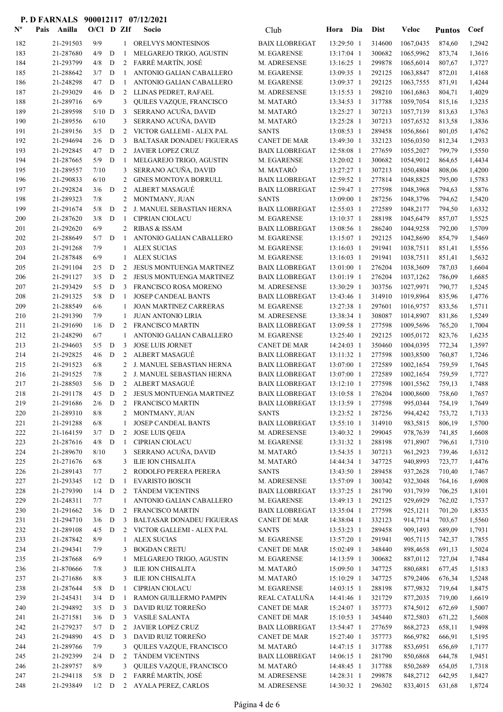| $\mathbf{N}^{\mathbf{o}}$ | Pais | Anilla                 | $O/C1$ D ZIf    |        |                   | Socio                                                       | Club                                         | Hora                     | Dia        | <b>Dist</b>      | Veloc                  | <b>Puntos</b>    | Coef             |
|---------------------------|------|------------------------|-----------------|--------|-------------------|-------------------------------------------------------------|----------------------------------------------|--------------------------|------------|------------------|------------------------|------------------|------------------|
| 182                       |      | 21-291503              | 9/9             |        | $1\,$             | <b>ORELVYS MONTESINOS</b>                                   | <b>BAIX LLOBREGAT</b>                        | 13:29:50 1               |            | 314600           | 1067,0435              | 874,60           | 1,2942           |
| 183                       |      | 21-287680              | 4/9             | D      | -1                | MELGAREJO TRIGO, AGUSTIN                                    | M. EGARENSE                                  | 13:17:04 1               |            | 300682           | 1065,9962              | 873,74           | 1,3616           |
| 184                       |      | 21-293799              | 4/8             | D      | $\overline{2}$    | FARRÉ MARTÍN, JOSÉ                                          | M. ADRESENSE                                 | 13:16:25 1               |            | 299878           | 1065,6014              | 807,67           | 1,3727           |
| 185                       |      | 21-288642              | 3/7             | D      | 1                 | ANTONIO GALIAN CABALLERO                                    | M. EGARENSE                                  | 13:09:35 1               |            | 292125           | 1063,8847              | 872,01           | 1,4168           |
| 186                       |      | 21-248298              | 4/7             | D      | -1                | ANTONIO GALIAN CABALLERO                                    | M. EGARENSE                                  | 13:09:37 1               |            | 292125           | 1063,7555              | 871,91           | 1,4244           |
| 187                       |      | 21-293029              | 4/6             | D      | 2                 | LLINAS PEDRET, RAFAEL                                       | M. ADRESENSE                                 | 13:15:53 1               |            | 298210           | 1061,6863              | 804,71           | 1,4029           |
| 188<br>189                |      | 21-289716<br>21-289598 | 6/9<br>$5/10$ D |        | 3<br>3            | QUILES VAZQUE, FRANCISCO<br>SERRANO ACUÑA, DAVID            | M. MATARÓ<br>M. MATARÓ                       | 13:34:53 1<br>13:25:27 1 |            | 317788<br>307213 | 1059,7054<br>1057,7139 | 815,16<br>813,63 | 1,3235<br>1,3763 |
| 190                       |      | 21-289556              | 6/10            |        | 3                 | SERRANO ACUÑA, DAVID                                        | M. MATARÓ                                    | 13:25:28 1               |            | 307213           | 1057,6532              | 813,58           | 1,3836           |
| 191                       |      | 21-289156              | 3/5             | D      | 2                 | VICTOR GALLEMI - ALEX PAL                                   | <b>SANTS</b>                                 | 13:08:53 1               |            | 289458           | 1056,8661              | 801,05           | 1,4762           |
| 192                       |      | 21-294694              | 2/6             | D      | 3                 | <b>BALTASAR DONADEU FIGUERAS</b>                            | <b>CANET DE MAR</b>                          | 13:49:30 1               |            | 332123           | 1056,0350              | 812,34           | 1,2933           |
| 193                       |      | 21-292845              | 4/7             | D      | 2                 | <b>JAVIER LOPEZ CRUZ</b>                                    | <b>BAIX LLOBREGAT</b>                        | 12:58:08 1               |            | 277659           | 1055,2027              | 799,79           | 1,5550           |
| 194                       |      | 21-287665              | 5/9             | D      | -1                | MELGAREJO TRIGO, AGUSTIN                                    | M. EGARENSE                                  | 13:20:02 1               |            | 300682           | 1054,9012              | 864,65           | 1,4434           |
| 195                       |      | 21-289557              | 7/10            |        | 3                 | SERRANO ACUÑA, DAVID                                        | M. MATARÓ                                    | 13:27:27 1               |            | 307213           | 1050,4804              | 808,06           | 1,4200           |
| 196                       |      | 21-290833              | 6/10            |        | 2                 | GINES MONTOYA BORRULL                                       | <b>BAIX LLOBREGAT</b>                        | 12:59:52 1               |            | 277814           | 1048,8825              | 795,00           | 1,5783           |
| 197                       |      | 21-292824              | 3/6             | D      | 2                 | <b>ALBERT MASAGUÉ</b>                                       | <b>BAIX LLOBREGAT</b>                        | 12:59:47 1               |            | 277598           | 1048,3968              | 794,63           | 1,5876           |
| 198                       |      | 21-289323              | 7/8             |        | 2                 | MONTMANY, JUAN                                              | <b>SANTS</b>                                 | 13:09:00 1               |            | 287256           | 1048,3796              | 794,62           | 1,5420           |
| 199<br>200                |      | 21-291674<br>21-287620 | 5/8<br>3/8      | D<br>D | 2<br>1            | J. MANUEL SEBASTIAN HERNA<br><b>CIPRIAN CIOLACU</b>         | <b>BAIX LLOBREGAT</b><br>M. EGARENSE         | 12:55:03 1<br>13:10:37 1 |            | 272589<br>288198 | 1048,2177<br>1045,6479 | 794,50<br>857,07 | 1,6332<br>1,5525 |
| 201                       |      | 21-292620              | 6/9             |        | 2                 | <b>RIBAS &amp; ISSAM</b>                                    | <b>BAIX LLOBREGAT</b>                        | 13:08:56 1               |            | 286240           | 1044,9258              | 792,00           | 1,5709           |
| 202                       |      | 21-288649              | 5/7             | D      | -1                | ANTONIO GALIAN CABALLERO                                    | M. EGARENSE                                  | 13:15:07 1               |            | 292125           | 1042,8690              | 854,79           | 1,5469           |
| 203                       |      | 21-291268              | 7/9             |        | 1                 | <b>ALEX SUCIAS</b>                                          | M. EGARENSE                                  | 13:16:03 1               |            | 291941           | 1038,7511              | 851,41           | 1,5556           |
| 204                       |      | 21-287848              | 6/9             |        | 1                 | <b>ALEX SUCIAS</b>                                          | M. EGARENSE                                  | 13:16:03 1               |            | 291941           | 1038,7511              | 851,41           | 1,5632           |
| 205                       |      | 21-291104              | 2/5             | D      | 2                 | JESUS MONTUENGA MARTINEZ                                    | <b>BAIX LLOBREGAT</b>                        | 13:01:00 1               |            | 276204           | 1038,3609              | 787,03           | 1,6604           |
| 206                       |      | 21-291127              | 3/5             | D      | 2                 | <b>JESUS MONTUENGA MARTINEZ</b>                             | <b>BAIX LLOBREGAT</b>                        | 13:01:19 1               |            | 276204           | 1037,1262              | 786,09           | 1,6685           |
| 207                       |      | 21-293429              | 5/5             | D      | 3                 | FRANCISCO ROSA MORENO                                       | M. ADRESENSE                                 | 13:30:29 1               |            | 303756           | 1027,9971              | 790,77           | 1,5245           |
| 208                       |      | 21-291325              | 5/8             | D      | 1                 | <b>JOSEP CANDEAL BANTS</b>                                  | <b>BAIX LLOBREGAT</b>                        | 13:43:46 1               |            | 314910           | 1019,8964              | 835,96           | 1,4776           |
| 209                       |      | 21-288549              | 6/6             |        | 1                 | <b>JOAN MARTINEZ CARRERAS</b>                               | M. EGARENSE                                  | 13:27:38 1               |            | 297601           | 1016,9757              | 833,56           | 1,5711           |
| 210<br>211                |      | 21-291390<br>21-291690 | 7/9<br>1/6      | D      | 1<br>2            | <b>JUAN ANTONIO LIRIA</b><br><b>FRANCISCO MARTIN</b>        | M. ADRESENSE<br><b>BAIX LLOBREGAT</b>        | 13:38:34 1<br>13:09:58 1 |            | 308087<br>277598 | 1014,8907<br>1009,5696 | 831,86<br>765,20 | 1,5249<br>1,7004 |
| 212                       |      | 21-248290              | 6/7             |        | 1                 | ANTONIO GALIAN CABALLERO                                    | M. EGARENSE                                  | 13:25:40 1               |            | 292125           | 1005,0172              | 823,76           | 1,6235           |
| 213                       |      | 21-294603              | 5/5             | D      | 3                 | <b>JOSE LUIS JORNET</b>                                     | <b>CANET DE MAR</b>                          | 14:24:03 1               |            | 350460           | 1004,0395              | 772,34           | 1,3597           |
| 214                       |      | 21-292825              | 4/6             | D      | 2                 | ALBERT MASAGUÉ                                              | <b>BAIX LLOBREGAT</b>                        | 13:11:32 1               |            | 277598           | 1003,8500              | 760,87           | 1,7246           |
| 215                       |      | 21-291523              | 6/8             |        | 2                 | J. MANUEL SEBASTIAN HERNA                                   | <b>BAIX LLOBREGAT</b>                        | 13:07:00 1               |            | 272589           | 1002,1654              | 759,59           | 1,7645           |
| 216                       |      | 21-291525              | 7/8             |        | 2                 | J. MANUEL SEBASTIAN HERNA                                   | <b>BAIX LLOBREGAT</b>                        | 13:07:00 1               |            | 272589           | 1002,1654              | 759,59           | 1,7727           |
| 217                       |      | 21-288503              | 5/6             | D      | 2                 | ALBERT MASAGUÉ                                              | <b>BAIX LLOBREGAT</b>                        | 13:12:10 1               |            | 277598           | 1001,5562              | 759,13           | 1,7488           |
| 218                       |      | 21-291178              | 4/5             | D      |                   | 2 JESUS MONTUENGA MARTINEZ                                  | <b>BAIX LLOBREGAT</b>                        | 13:10:58 1               |            | 276204           | 1000,8600              | 758,60           | 1,7657           |
| 219                       |      | 21-291686              |                 |        |                   | 2/6 D 2 FRANCISCO MARTIN                                    | <b>BAIX LLOBREGAT</b>                        |                          | 13:13:59 1 | 277598           | 995,0344               | 754,19           | 1,7649           |
| 220<br>221                |      | 21-289310<br>21-291288 | 8/8<br>6/8      |        |                   | 2 MONTMANY, JUAN<br><b>JOSEP CANDEAL BANTS</b>              | <b>SANTS</b><br><b>BAIX LLOBREGAT</b>        | 13:23:52 1<br>13:55:10 1 |            | 287256<br>314910 | 994,4242<br>983,5815   | 753,72<br>806,19 | 1,7133           |
| 222                       |      | 21-164159              | $3/7$ D         |        | 1<br>$\mathbf{2}$ | <b>JOSE LUIS QEIJA</b>                                      | M. ADRESENSE                                 | 13:40:32 1               |            | 299045           | 978,7639               | 741,85           | 1,5700<br>1,6608 |
| 223                       |      | 21-287616              | $4/8$ D         |        | -1                | <b>CIPRIAN CIOLACU</b>                                      | M. EGARENSE                                  | 13:31:32 1               |            | 288198           | 971,8907               | 796,61           | 1,7310           |
| 224                       |      | 21-289670              | 8/10            |        | 3                 | SERRANO ACUÑA, DAVID                                        | M. MATARÓ                                    | 13:54:35 1               |            | 307213           | 961,2923               | 739,46           | 1,6312           |
| 225                       |      | 21-271676              | 6/8             |        | 3                 | ILIE ION CHISALITA                                          | M. MATARÓ                                    | 14:44:34 1               |            | 347725           | 940,8993               | 723,77           | 1,4476           |
| 226                       |      | 21-289143              | 7/7             |        | 2                 | RODOLFO PERERA PERERA                                       | <b>SANTS</b>                                 | 13:43:50 1               |            | 289458           | 937,2628               | 710,40           | 1,7467           |
| 227                       |      | 21-293345              | 1/2             | D      | $\mathbf{1}$      | <b>EVARISTO BOSCH</b>                                       | M. ADRESENSE                                 | 13:57:09 1               |            | 300342           | 932,3048               | 764,16           | 1,6908           |
| 228                       |      | 21-279390              | 1/4             | D      | $\mathfrak{2}$    | <b>TÁNDEM VICENTINS</b>                                     | <b>BAIX LLOBREGAT</b>                        | 13:37:25 1               |            | 281790           | 931,7939               | 706,25           | 1,8101           |
| 229                       |      | 21-248311              | 7/7             |        | $\mathbf{1}$      | ANTONIO GALIAN CABALLERO                                    | M. EGARENSE                                  | 13:49:13 1               |            | 292125           | 929,6929               | 762,02           | 1,7537           |
| 230<br>231                |      | 21-291662<br>21-294710 | 3/6<br>3/6      | D<br>D | 2<br>3            | <b>FRANCISCO MARTIN</b><br><b>BALTASAR DONADEU FIGUERAS</b> | <b>BAIX LLOBREGAT</b><br><b>CANET DE MAR</b> | 13:35:04 1<br>14:38:04 1 |            | 277598<br>332123 | 925,1211<br>914,7714   | 701,20<br>703,67 | 1,8535<br>1,5560 |
| 232                       |      | 21-289108              | 4/5             | D      |                   | 2 VICTOR GALLEMI - ALEX PAL                                 | <b>SANTS</b>                                 | 13:53:23 1               |            | 289458           | 909,1493               | 689,09           | 1,7931           |
| 233                       |      | 21-287842              | 8/9             |        | 1                 | <b>ALEX SUCIAS</b>                                          | M. EGARENSE                                  | 13:57:20 1               |            | 291941           | 905,7115               | 742,37           | 1,7855           |
| 234                       |      | 21-294341              | 7/9             |        | 3                 | <b>BOGDAN CRETU</b>                                         | <b>CANET DE MAR</b>                          | 15:02:49 1               |            | 348440           | 898,4658               | 691,13           | 1,5024           |
| 235                       |      | 21-287668              | 6/9             |        |                   | MELGAREJO TRIGO, AGUSTIN                                    | M. EGARENSE                                  | 14:13:59 1               |            | 300682           | 887,0112               | 727,04           | 1,7484           |
| 236                       |      | 21-870666              | 7/8             |        | 3                 | ILIE ION CHISALITA                                          | M. MATARÓ                                    | 15:09:50 1               |            | 347725           | 880,6881               | 677,45           | 1,5183           |
| 237                       |      | 21-271686              | 8/8             |        | 3                 | ILIE ION CHISALITA                                          | M. MATARÓ                                    | 15:10:29 1               |            | 347725           | 879,2406               | 676,34           | 1,5248           |
| 238                       |      | 21-287644              | 5/8             | D      | 1                 | <b>CIPRIAN CIOLACU</b>                                      | M. EGARENSE                                  | 14:03:15 1               |            | 288198           | 877,9832               | 719,64           | 1,8475           |
| 239                       |      | 21-245431              | 3/4             | D      | $\mathbf{1}$      | RAMON GUILLERMO PAMPIN                                      | REAL CATALUÑA                                | 14:41:46 1               |            | 321729           | 877,2035               | 719,00           | 1,6619           |
| 240<br>241                |      | 21-294892<br>21-271581 | 3/5<br>3/6      | D<br>D | 3<br>3            | DAVID RUIZ TORREÑO<br><b>VASILE SALANTA</b>                 | <b>CANET DE MAR</b><br><b>CANET DE MAR</b>   | 15:24:07 1<br>15:10:53 1 |            | 357773<br>345440 | 874,5012<br>872,5803   | 672,69<br>671,22 | 1,5007<br>1,5608 |
| 242                       |      | 21-279237              | 5/7             | D      |                   | 2 JAVIER LOPEZ CRUZ                                         | <b>BAIX LLOBREGAT</b>                        | 13:54:47 1               |            | 277659           | 868,2723               | 658,11           | 1,9498           |
| 243                       |      | 21-294890              | 4/5             | D      | 3                 | DAVID RUIZ TORREÑO                                          | <b>CANET DE MAR</b>                          | 15:27:40 1               |            | 357773           | 866,9782               | 666,91           | 1,5195           |
| 244                       |      | 21-289766              | 7/9             |        | 3                 | QUILES VAZQUE, FRANCISCO                                    | M. MATARÓ                                    | 14:47:15 1               |            | 317788           | 853,6951               | 656,69           | 1,7177           |
| 245                       |      | 21-292399              | 2/4             | D      | $\overline{2}$    | <b>TÁNDEM VICENTINS</b>                                     | <b>BAIX LLOBREGAT</b>                        | 14:06:15 1               |            | 281790           | 850,6868               | 644,78           | 1,9451           |
| 246                       |      | 21-289757              | 8/9             |        | 3                 | QUILES VAZQUE, FRANCISCO                                    | M. MATARÓ                                    | 14:48:45 1               |            | 317788           | 850,2689               | 654,05           | 1,7318           |
| 247                       |      | 21-294118              | $5/8$ D         |        |                   | 2 FARRÉ MARTÍN, JOSÉ                                        | M. ADRESENSE                                 | 14:28:31 1               |            | 299878           | 848,2712               | 642,95           | 1,8427           |
| 248                       |      | 21-293849              |                 |        |                   | 1/2 D 2 AYALA PEREZ, CARLOS                                 | M. ADRESENSE                                 | 14:30:32 1               |            | 296302           | 833,4015               | 631,68           | 1,8724           |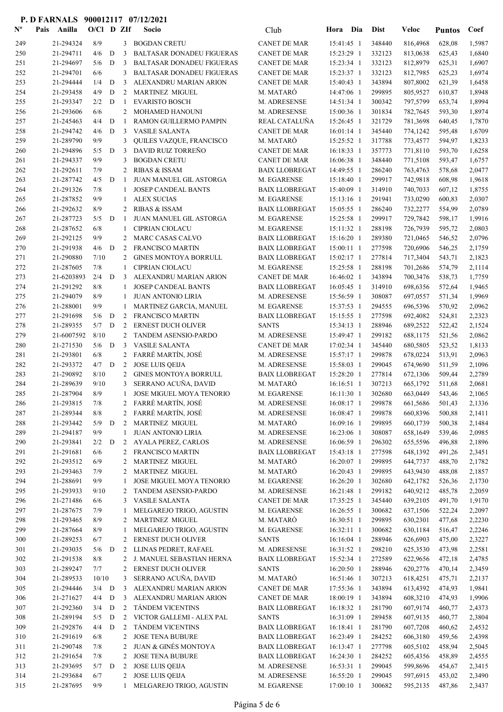| $\mathbf{N}^{\mathbf{o}}$ | Pais | Anilla                 | $O/Cl$ D ZIf |        |                   | Socio                                                | Club                                       | Dia<br>Hora                | <b>Dist</b>      | Veloc                | <b>Puntos</b>    | Coef             |
|---------------------------|------|------------------------|--------------|--------|-------------------|------------------------------------------------------|--------------------------------------------|----------------------------|------------------|----------------------|------------------|------------------|
| 249                       |      | 21-294324              | 8/9          |        | 3                 | <b>BOGDAN CRETU</b>                                  | <b>CANET DE MAR</b>                        | 15:41:45 1                 | 348440           | 816,4968             | 628,08           | 1,5987           |
| 250                       |      | 21-294711              | 4/6          | D      | 3                 | <b>BALTASAR DONADEU FIGUERAS</b>                     | <b>CANET DE MAR</b>                        | 15:23:29 1                 | 332123           | 813,0638             | 625,43           | 1,6840           |
| 251                       |      | 21-294697              | 5/6          | D      | 3                 | <b>BALTASAR DONADEU FIGUERAS</b>                     | <b>CANET DE MAR</b>                        | 15:23:34 1                 | 332123           | 812,8979             | 625,31           | 1,6907           |
| 252                       |      | 21-294701              | 6/6          |        | 3                 | <b>BALTASAR DONADEU FIGUERAS</b>                     | <b>CANET DE MAR</b>                        | 15:23:37 1                 | 332123           | 812,7985             | 625,23           | 1,6974           |
| 253                       |      | 21-294444              | 1/4          | D      | 3                 | ALEXANDRU MARIAN ARION                               | <b>CANET DE MAR</b>                        | 15:40:43 1                 | 343894           | 807,8002             | 621,39           | 1,6458           |
| 254                       |      | 21-293458              | 4/9          | D      | 2                 | <b>MARTINEZ MIGUEL</b>                               | M. MATARO                                  | 14:47:06 1                 | 299895           | 805,9527             | 610,87           | 1,8948           |
| 255                       |      | 21-293347              | 2/2          | D      | 1                 | <b>EVARISTO BOSCH</b>                                | M. ADRESENSE                               | 14:51:34 1                 | 300342           | 797,5799             | 653,74           | 1,8994           |
| 256                       |      | 21-293606              | 6/6          |        | 2                 | MOHAMED HANOUNI                                      | M. ADRESENSE                               | 15:00:36 1                 | 301834           | 782,7645             | 593,30           | 1,8974           |
| 257<br>258                |      | 21-245463<br>21-294742 | 4/4<br>4/6   | D<br>D | -1<br>3           | RAMON GUILLERMO PAMPIN<br><b>VASILE SALANTA</b>      | REAL CATALUÑA<br><b>CANET DE MAR</b>       | 15:26:45 1<br>$16:01:14$ 1 | 321729<br>345440 | 781,3698             | 640,45           | 1,7870<br>1,6709 |
| 259                       |      | 21-289790              | 9/9          |        | 3                 | QUILES VAZQUE, FRANCISCO                             | M. MATARÓ                                  | 15:25:52 1                 | 317788           | 774,1242<br>773,4577 | 595,48<br>594,97 | 1,8233           |
| 260                       |      | 21-294896              | 5/5          | D      | 3                 | DAVID RUIZ TORREÑO                                   | <b>CANET DE MAR</b>                        | 16:18:33 1                 | 357773           | 771,8110             | 593,70           | 1,6258           |
| 261                       |      | 21-294337              | 9/9          |        | 3                 | <b>BOGDAN CRETU</b>                                  | <b>CANET DE MAR</b>                        | 16:06:38 1                 | 348440           | 771,5108             | 593,47           | 1,6757           |
| 262                       |      | 21-292611              | 7/9          |        | 2                 | <b>RIBAS &amp; ISSAM</b>                             | <b>BAIX LLOBREGAT</b>                      | 14:49:55 1                 | 286240           | 763,4763             | 578,68           | 2,0477           |
| 263                       |      | 21-287742              | 4/5          | D      | -1                | JUAN MANUEL GIL ASTORGA                              | M. EGARENSE                                | 15:18:40 1                 | 299917           | 742,9818             | 608,98           | 1,9618           |
| 264                       |      | 21-291326              | 7/8          |        | 1                 | <b>JOSEP CANDEAL BANTS</b>                           | <b>BAIX LLOBREGAT</b>                      | 15:40:09 1                 | 314910           | 740,7033             | 607,12           | 1,8755           |
| 265                       |      | 21-287852              | 9/9          |        | -1                | <b>ALEX SUCIAS</b>                                   | M. EGARENSE                                | 15:13:16 1                 | 291941           | 733,0290             | 600,83           | 2,0307           |
| 266                       |      | 21-292632              | 8/9          |        | 2                 | <b>RIBAS &amp; ISSAM</b>                             | <b>BAIX LLOBREGAT</b>                      | 15:05:55 1                 | 286240           | 732,2277             | 554,99           | 2,0789           |
| 267                       |      | 21-287723              | 5/5          | D      | -1                | JUAN MANUEL GIL ASTORGA                              | M. EGARENSE                                | 15:25:58 1                 | 299917           | 729,7842             | 598,17           | 1,9916           |
| 268                       |      | 21-287652              | 6/8          |        | 1                 | <b>CIPRIAN CIOLACU</b>                               | M. EGARENSE                                | 15:11:32 1                 | 288198           | 726,7939             | 595,72           | 2,0803           |
| 269                       |      | 21-292125              | 9/9          |        | 2                 | MARC CASAS CALVO                                     | <b>BAIX LLOBREGAT</b>                      | 15:16:20 1                 | 289380           | 721,0465             | 546,52           | 2,0796           |
| 270                       |      | 21-291938              | 4/6          | D      | 2                 | <b>FRANCISCO MARTIN</b>                              | <b>BAIX LLOBREGAT</b>                      | 15:00:11 1                 | 277598           | 720,6906             | 546,25           | 2,1759           |
| 271                       |      | 21-290880              | 7/10         |        | 2                 | <b>GINES MONTOYA BORRULL</b>                         | <b>BAIX LLOBREGAT</b>                      | $15:02:17$ 1               | 277814           | 717,3404             | 543,71           | 2,1823           |
| 272                       |      | 21-287605              | 7/8          |        | $\mathbf{1}$      | <b>CIPRIAN CIOLACU</b>                               | M. EGARENSE                                | 15:25:58 1                 | 288198           | 701,2686             | 574,79           | 2,1114           |
| 273                       |      | 21-6203893             | 2/4          | D      | 3                 | ALEXANDRU MARIAN ARION                               | <b>CANET DE MAR</b>                        | $16:46:02$ 1               | 343894           | 700,3476             | 538,73           | 1,7759           |
| 274                       |      | 21-291292              | 8/8<br>8/9   |        | 1                 | <b>JOSEP CANDEAL BANTS</b>                           | <b>BAIX LLOBREGAT</b>                      | 16:05:45 1                 | 314910           | 698,6356             | 572,64           | 1,9465           |
| 275<br>276                |      | 21-294079<br>21-288001 | 9/9          |        | 1<br>$\mathbf{1}$ | <b>JUAN ANTONIO LIRIA</b><br>MARTINEZ GARCIA, MANUEL | M. ADRESENSE<br>M. EGARENSE                | 15:56:59 1<br>15:37:53 1   | 308087<br>294555 | 697,0557<br>696,5396 | 571,34<br>570,92 | 1,9969<br>2,0962 |
| 277                       |      | 21-291698              | 5/6          | D      | 2                 | <b>FRANCISCO MARTIN</b>                              | <b>BAIX LLOBREGAT</b>                      | 15:15:55 1                 | 277598           | 692,4082             | 524,81           | 2,2323           |
| 278                       |      | 21-289355              | 5/7          | D      | 2                 | <b>ERNEST DUCH OLIVER</b>                            | <b>SANTS</b>                               | 15:34:13 1                 | 288946           | 689,2522             | 522,42           | 2,1524           |
| 279                       |      | 21-6007592             | 8/10         |        | 2                 | <b>TANDEM ASENSIO-PARDO</b>                          | M. ADRESENSE                               | 15:49:47 1                 | 299182           | 688,1175             | 521,56           | 2,0862           |
| 280                       |      | 21-271530              | 5/6          | D      | 3                 | <b>VASILE SALANTA</b>                                | <b>CANET DE MAR</b>                        | 17:02:34 1                 | 345440           | 680,5805             | 523,52           | 1,8133           |
| 281                       |      | 21-293801              | 6/8          |        | 2                 | FARRÉ MARTÍN, JOSÉ                                   | M. ADRESENSE                               | 15:57:17 1                 | 299878           | 678,0224             | 513,91           | 2,0963           |
| 282                       |      | 21-293372              | 4/7          | D      | 2                 | <b>JOSE LUIS QEIJA</b>                               | M. ADRESENSE                               | 15:58:03 1                 | 299045           | 674,9690             | 511,59           | 2,1096           |
| 283                       |      | 21-290892              | 8/10         |        | 2                 | <b>GINES MONTOYA BORRULL</b>                         | <b>BAIX LLOBREGAT</b>                      | 15:28:20 1                 | 277814           | 672,1306             | 509,44           | 2,2789           |
| 284                       |      | 21-289639              | 9/10         |        | 3                 | SERRANO ACUÑA, DAVID                                 | M. MATARÓ                                  | $16:16:51$ 1               | 307213           | 665,1792             | 511,68           | 2,0681           |
| 285                       |      | 21-287904              | 8/9          |        | 1                 | JOSE MIGUEL MOYA TENORIO                             | M. EGARENSE                                | 16:11:30 1                 | 302680           | 663,0449             | 543,46           | 2,1065           |
| 286                       |      | 21-293815              | $7/8$        |        |                   | 2 FARRÉ MARTÍN, JOSÉ                                 | M. ADRESENSE                               | 16:08:17 1                 | 299878           | 661,5686 501,43      |                  | 2,1336           |
| 287                       |      | 21-289344              | 8/8          |        |                   | 2 FARRÉ MARTÍN, JOSÉ                                 | M. ADRESENSE                               | $16:08:47$ 1               | 299878           | 660,8396             | 500,88           | 2,1411           |
| 288                       |      | 21-293442              | 5/9          | D      | $\overline{2}$    | <b>MARTINEZ MIGUEL</b>                               | M. MATARÓ                                  | 16:09:16 1                 | 299895           | 660,1739             | 500,38           | 2,1484           |
| 289                       |      | 21-294187              | 9/9          |        | 1                 | <b>JUAN ANTONIO LIRIA</b><br>AYALA PEREZ, CARLOS     | M. ADRESENSE<br>M. ADRESENSE               | 16:23:06 1                 | 308087<br>296302 | 658,1649<br>655,5596 | 539,46           | 2,0985           |
| 290<br>291                |      | 21-293841<br>21-291681 | 2/2<br>6/6   | D      | $\overline{2}$    | 2 FRANCISCO MARTIN                                   | <b>BAIX LLOBREGAT</b>                      | 16:06:59 1<br>15:43:18 1   | 277598           | 648,1392             | 496,88<br>491,26 | 2,1896<br>2,3451 |
| 292                       |      | 21-293512              | 6/9          |        | 2                 | <b>MARTINEZ MIGUEL</b>                               | M. MATARÓ                                  | 16:20:07 1                 | 299895           | 644,7737             | 488,70           | 2,1782           |
| 293                       |      | 21-293463              | 7/9          |        | 2                 | <b>MARTINEZ MIGUEL</b>                               | M. MATARÓ                                  | 16:20:43 1                 | 299895           | 643,9430             | 488,08           | 2,1857           |
| 294                       |      | 21-288691              | 9/9          |        | 1                 | JOSE MIGUEL MOYA TENORIO                             | M. EGARENSE                                | 16:26:20 1                 | 302680           | 642,1782             | 526,36           | 2,1730           |
| 295                       |      | 21-293933              | 9/10         |        | 2                 | TANDEM ASENSIO-PARDO                                 | M. ADRESENSE                               | 16:21:48 1                 | 299182           | 640,9212             | 485,78           | 2,2059           |
| 296                       |      | 21-271486              | 6/6          |        | 3                 | <b>VASILE SALANTA</b>                                | <b>CANET DE MAR</b>                        | 17:35:25 1                 | 345440           | 639,2105             | 491,70           | 1,9170           |
| 297                       |      | 21-287675              | 7/9          |        | 1                 | MELGAREJO TRIGO, AGUSTIN                             | M. EGARENSE                                | 16:26:55 1                 | 300682           | 637,1506             | 522,24           | 2,2097           |
| 298                       |      | 21-293465              | 8/9          |        | 2                 | <b>MARTINEZ MIGUEL</b>                               | M. MATARÓ                                  | 16:30:51 1                 | 299895           | 630,2301             | 477,68           | 2,2230           |
| 299                       |      | 21-287664              | 8/9          |        | 1                 | MELGAREJO TRIGO, AGUSTIN                             | M. EGARENSE                                | 16:32:11 1                 | 300682           | 630,1184             | 516,47           | 2,2246           |
| 300                       |      | 21-289253              | 6/7          |        | 2                 | ERNEST DUCH OLIVER                                   | <b>SANTS</b>                               | 16:16:04 1                 | 288946           | 626,6903             | 475,00           | 2,3227           |
| 301                       |      | 21-293035              | 5/6          | D      | 2                 | LLINAS PEDRET, RAFAEL                                | M. ADRESENSE                               | 16:31:52 1                 | 298210           | 625,3530             | 473,98           | 2,2581           |
| 302                       |      | 21-291538              | 8/8          |        | 2                 | J. MANUEL SEBASTIAN HERNA                            | <b>BAIX LLOBREGAT</b>                      | 15:52:34 1                 | 272589           | 622,9656             | 472,18           | 2,4785           |
| 303                       |      | 21-289247              | 7/7          |        | 2                 | ERNEST DUCH OLIVER                                   | <b>SANTS</b>                               | 16:20:50 1                 | 288946           | 620,2776             | 470,14           | 2,3459           |
| 304                       |      | 21-289533              | 10/10        |        | 3                 | SERRANO ACUÑA, DAVID                                 | M. MATARÓ                                  | 16:51:46 1                 | 307213           | 618,4251             | 475,71           | 2,2137           |
| 305                       |      | 21-294446              | 3/4<br>4/4   | D<br>D | 3<br>3            | ALEXANDRU MARIAN ARION<br>ALEXANDRU MARIAN ARION     | <b>CANET DE MAR</b><br><b>CANET DE MAR</b> | 17:55:36 1                 | 343894<br>343894 | 613,4392<br>608,3210 | 474,93           | 1,9841           |
| 306                       |      | 21-271627              | 3/4          | D      | 2                 | TÁNDEM VICENTINS                                     | <b>BAIX LLOBREGAT</b>                      | 18:00:19 1                 | 281790           |                      | 474,93<br>460,77 | 1,9906           |
| 307<br>308                |      | 21-292360<br>21-289194 | 5/5          | D      | 2                 | VICTOR GALLEMI - ALEX PAL                            | <b>SANTS</b>                               | 16:18:32 1<br>16:31:09 1   | 289458           | 607,9174<br>607,9135 | 460,77           | 2,4373<br>2,3804 |
| 309                       |      | 21-292876              | 4/4          | D      | $\overline{2}$    | <b>TÁNDEM VICENTINS</b>                              | <b>BAIX LLOBREGAT</b>                      | $16:18:41$ 1               | 281790           | 607,7208             | 460,62           | 2,4532           |
| 310                       |      | 21-291619              | 6/8          |        | 2                 | <b>JOSE TENA BUBURE</b>                              | <b>BAIX LLOBREGAT</b>                      | 16:23:49 1                 | 284252           | 606,3180             | 459,56           | 2,4398           |
| 311                       |      | 21-290748              | 7/8          |        | 2                 | <b>JUAN &amp; GINÉS MONTOYA</b>                      | <b>BAIX LLOBREGAT</b>                      | 16:13:47 1                 | 277798           | 605,5102             | 458,94           | 2,5045           |
| 312                       |      | 21-291654              | 7/8          |        | $2^{\circ}$       | <b>JOSE TENA BUBURE</b>                              | <b>BAIX LLOBREGAT</b>                      | 16:24:30 1                 | 284252           | 605,4356             | 458,89           | 2,4555           |
| 313                       |      | 21-293695              | 5/7          | D      | 2                 | <b>JOSE LUIS QEIJA</b>                               | M. ADRESENSE                               | 16:53:31 1                 | 299045           | 599,8696             | 454,67           | 2,3415           |
| 314                       |      | 21-293684              | 6/7          |        | 2                 | <b>JOSE LUIS QEIJA</b>                               | M. ADRESENSE                               | 16:55:20 1                 | 299045           | 597,6915             | 453,02           | 2,3490           |
| 315                       |      | 21-287695              | 9/9          |        | 1                 | MELGAREJO TRIGO, AGUSTIN                             | M. EGARENSE                                | 17:00:10 1                 | 300682           | 595,2135             | 487,86           | 2,3437           |